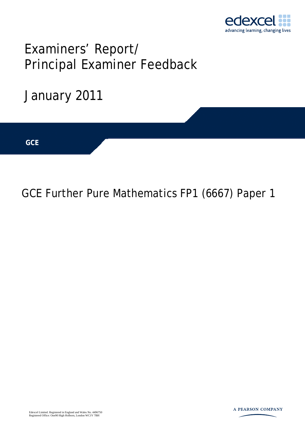

# Examiners' Report/ Principal Examiner Feedback



## GCE Further Pure Mathematics FP1 (6667) Paper 1

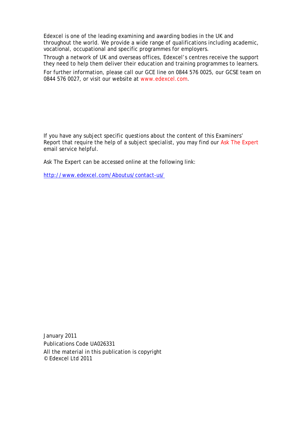Edexcel is one of the leading examining and awarding bodies in the UK and throughout the world. We provide a wide range of qualifications including academic, vocational, occupational and specific programmes for employers.

Through a network of UK and overseas offices, Edexcel's centres receive the support they need to help them deliver their education and training programmes to learners.

For further information, please call our GCE line on 0844 576 0025, our GCSE team on 0844 576 0027, or visit our website at www.edexcel.com.

If you have any subject specific questions about the content of this Examiners' Report that require the help of a subject specialist, you may find our Ask The Expert email service helpful.

Ask The Expert can be accessed online at the following link:

http://www.edexcel.com/Aboutus/contact-us/

January 2011 Publications Code UA026331 All the material in this publication is copyright © Edexcel Ltd 2011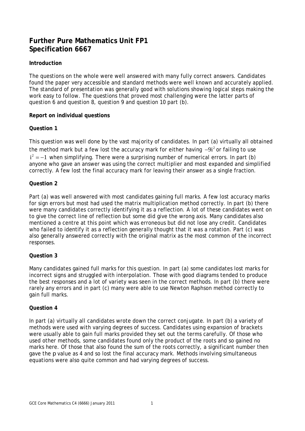### **Further Pure Mathematics Unit FP1 Specification 6667**

#### **Introduction**

The questions on the whole were well answered with many fully correct answers. Candidates found the paper very accessible and standard methods were well known and accurately applied. The standard of presentation was generally good with solutions showing logical steps making the work easy to follow. The questions that proved most challenging were the latter parts of question 6 and question 8, question 9 and question 10 part (b).

#### **Report on individual questions**

#### **Question 1**

This question was well done by the vast majority of candidates. In part (a) virtually all obtained the method mark but a few lost the accuracy mark for either having  $-9i^2$  or failing to use  $i^2 = -1$  when simplifying. There were a surprising number of numerical errors. In part (b) anyone who gave an answer was using the correct multiplier and most expanded and simplified correctly. A few lost the final accuracy mark for leaving their answer as a single fraction.

#### **Question 2**

Part (a) was well answered with most candidates gaining full marks. A few lost accuracy marks for sign errors but most had used the matrix multiplication method correctly. In part (b) there were many candidates correctly identifying it as a reflection. A lot of these candidates went on to give the correct line of reflection but some did give the wrong axis. Many candidates also mentioned a centre at this point which was erroneous but did not lose any credit. Candidates who failed to identify it as a reflection generally thought that it was a rotation. Part (c) was also generally answered correctly with the original matrix as the most common of the incorrect responses.

#### **Question 3**

Many candidates gained full marks for this question. In part (a) some candidates lost marks for incorrect signs and struggled with interpolation. Those with good diagrams tended to produce the best responses and a lot of variety was seen in the correct methods. In part (b) there were rarely any errors and in part (c) many were able to use Newton Raphson method correctly to gain full marks.

#### **Question 4**

In part (a) virtually all candidates wrote down the correct conjugate. In part (b) a variety of methods were used with varying degrees of success. Candidates using expansion of brackets were usually able to gain full marks provided they set out the terms carefully. Of those who used other methods, some candidates found only the product of the roots and so gained no marks here. Of those that also found the sum of the roots correctly, a significant number then gave the *p* value as 4 and so lost the final accuracy mark. Methods involving simultaneous equations were also quite common and had varying degrees of success.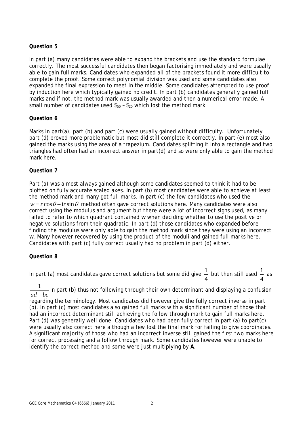#### **Question 5**

In part (a) many candidates were able to expand the brackets and use the standard formulae correctly. The most successful candidates then began factorising immediately and were usually able to gain full marks. Candidates who expanded all of the brackets found it more difficult to complete the proof. Some correct polynomial division was used and some candidates also expanded the final expression to meet in the middle. Some candidates attempted to use proof by induction here which typically gained no credit. In part (b) candidates generally gained full marks and if not, the method mark was usually awarded and then a numerical error made. A small number of candidates used  $S_{50}$  -  $S_{20}$  which lost the method mark.

#### **Question 6**

Marks in part(a), part (b) and part (c) were usually gained without difficulty. Unfortunately part (d) proved more problematic but most did still complete it correctly. In part (e) most also gained the marks using the area of a trapezium. Candidates splitting it into a rectangle and two triangles had often had an incorrect answer in part(d) and so were only able to gain the method mark here.

#### **Question 7**

Part (a) was almost always gained although some candidates seemed to think it had to be plotted on fully accurate scaled axes. In part (b) most candidates were able to achieve at least the method mark and many got full marks. In part (c) the few candidates who used the  $w = r \cos \theta + i r \sin \theta$  method often gave correct solutions here. Many candidates were also correct using the modulus and argument but there were a lot of incorrect signs used, as many failed to refer to which quadrant contained *w* when deciding whether to use the positive or negative solutions from their quadratic. In part (d) those candidates who expanded before finding the modulus were only able to gain the method mark since they were using an incorrect *w*. Many however recovered by using the product of the moduli and gained full marks here. Candidates with part (c) fully correct usually had no problem in part (d) either.

#### **Question 8**

In part (a) most candidates gave correct solutions but some did give  $\frac{1}{\tau}$ 4 but then still used  $\frac{1}{1}$ 4 as

1 <u>⊥</u> in part (b) thus not following through their own determinant and displaying a confusion<br>*ad – bc* 

regarding the terminology. Most candidates did however give the fully correct inverse in part (b). In part (c) most candidates also gained full marks with a significant number of those that had an incorrect determinant still achieving the follow through mark to gain full marks here. Part (d) was generally well done. Candidates who had been fully correct in part (a) to part(c) were usually also correct here although a few lost the final mark for failing to give coordinates. A significant majority of those who had an incorrect inverse still gained the first two marks here for correct processing and a follow through mark. Some candidates however were unable to identify the correct method and some were just multiplying by **A**.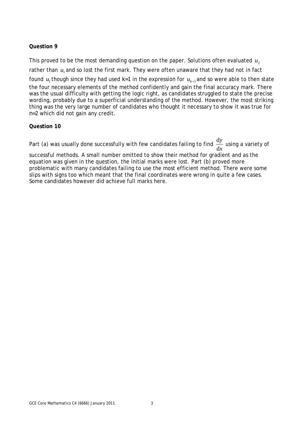#### **Question 9**

This proved to be the most demanding question on the paper. Solutions often evaluated  $u<sub>2</sub>$ rather than  $u_i$  and so lost the first mark. They were often unaware that they had not in fact found  $u_1$  though since they had used  $k=1$  in the expression for  $u_{k+1}$  and so were able to then state the four necessary elements of the method confidently and gain the final accuracy mark. There was the usual difficulty with getting the logic right, as candidates struggled to state the precise wording, probably due to a superficial understanding of the method. However, the most striking thing was the very large number of candidates who thought it necessary to show it was true for *n*=2 which did not gain any credit.

#### **Question 10**

Part (a) was usually done successfully with few candidates failing to find  $\frac{\rm d}{{\rm d}}$ d *y x* using a variety of

successful methods. A small number omitted to show their method for gradient and as the equation was given in the question, the initial marks were lost. Part (b) proved more problematic with many candidates failing to use the most efficient method. There were some slips with signs too which meant that the final coordinates were wrong in quite a few cases. Some candidates however did achieve full marks here.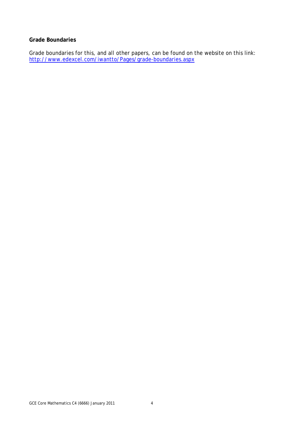#### **Grade Boundaries**

Grade boundaries for this, and all other papers, can be found on the website on this link: http://www.edexcel.com/iwantto/Pages/grade-boundaries.aspx